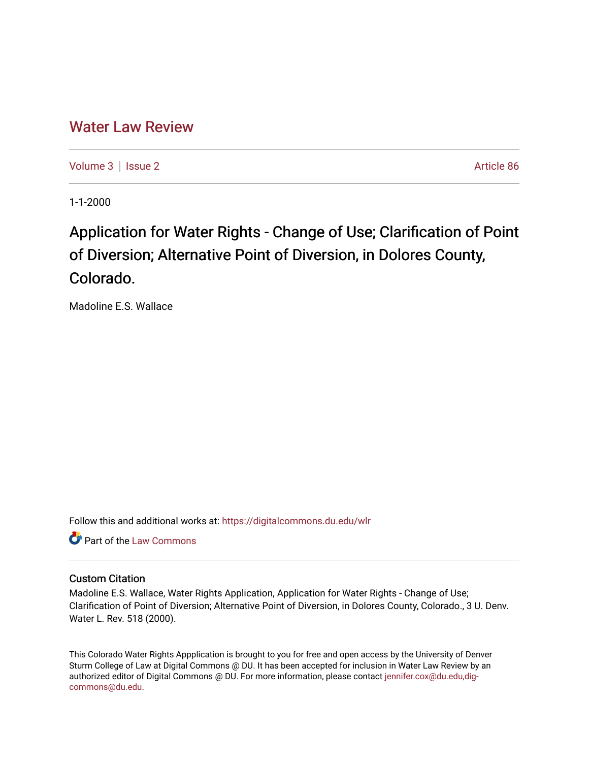## [Water Law Review](https://digitalcommons.du.edu/wlr)

[Volume 3](https://digitalcommons.du.edu/wlr/vol3) | [Issue 2](https://digitalcommons.du.edu/wlr/vol3/iss2) Article 86

1-1-2000

# Application for Water Rights - Change of Use; Clarification of Point of Diversion; Alternative Point of Diversion, in Dolores County, Colorado.

Madoline E.S. Wallace

Follow this and additional works at: [https://digitalcommons.du.edu/wlr](https://digitalcommons.du.edu/wlr?utm_source=digitalcommons.du.edu%2Fwlr%2Fvol3%2Fiss2%2F86&utm_medium=PDF&utm_campaign=PDFCoverPages) 

**C** Part of the [Law Commons](http://network.bepress.com/hgg/discipline/578?utm_source=digitalcommons.du.edu%2Fwlr%2Fvol3%2Fiss2%2F86&utm_medium=PDF&utm_campaign=PDFCoverPages)

### Custom Citation

Madoline E.S. Wallace, Water Rights Application, Application for Water Rights - Change of Use; Clarification of Point of Diversion; Alternative Point of Diversion, in Dolores County, Colorado., 3 U. Denv. Water L. Rev. 518 (2000).

This Colorado Water Rights Appplication is brought to you for free and open access by the University of Denver Sturm College of Law at Digital Commons @ DU. It has been accepted for inclusion in Water Law Review by an authorized editor of Digital Commons @ DU. For more information, please contact [jennifer.cox@du.edu,dig](mailto:jennifer.cox@du.edu,dig-commons@du.edu)[commons@du.edu.](mailto:jennifer.cox@du.edu,dig-commons@du.edu)